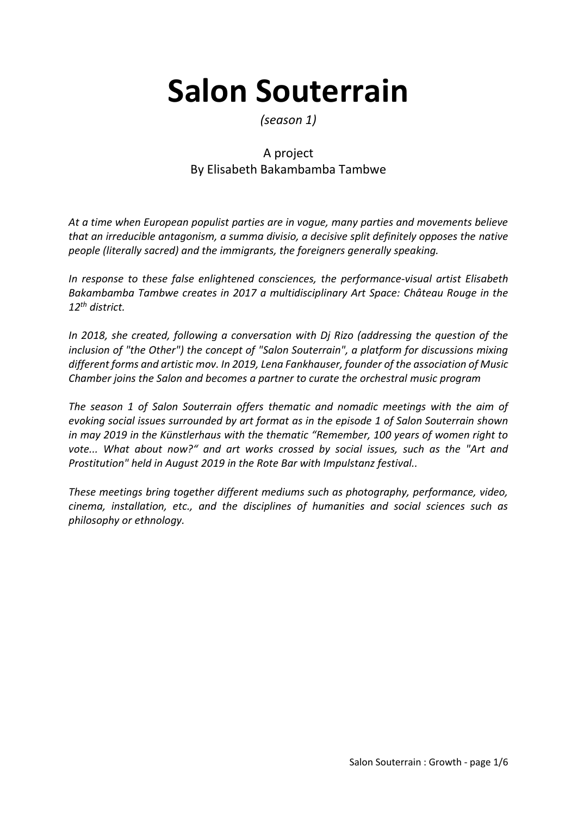# **Salon Souterrain**

### *(season 1)*

## A project By Elisabeth Bakambamba Tambwe

*At a time when European populist parties are in vogue, many parties and movements believe that an irreducible antagonism, a summa divisio, a decisive split definitely opposes the native people (literally sacred) and the immigrants, the foreigners generally speaking.*

*In response to these false enlightened consciences, the performance-visual artist Elisabeth Bakambamba Tambwe creates in 2017 a multidisciplinary Art Space: Château Rouge in the 12th district.*

*In 2018, she created, following a conversation with Dj Rizo (addressing the question of the inclusion of "the Other") the concept of "Salon Souterrain", a platform for discussions mixing different forms and artistic mov. In 2019, Lena Fankhauser, founder of the association of Music Chamber joins the Salon and becomes a partner to curate the orchestral music program*

*The season 1 of Salon Souterrain offers thematic and nomadic meetings with the aim of evoking social issues surrounded by art format as in the episode 1 of Salon Souterrain shown in may 2019 in the Künstlerhaus with the thematic "Remember, 100 years of women right to vote... What about now?" and art works crossed by social issues, such as the "Art and Prostitution" held in August 2019 in the Rote Bar with Impulstanz festival..*

*These meetings bring together different mediums such as photography, performance, video, cinema, installation, etc., and the disciplines of humanities and social sciences such as philosophy or ethnology.*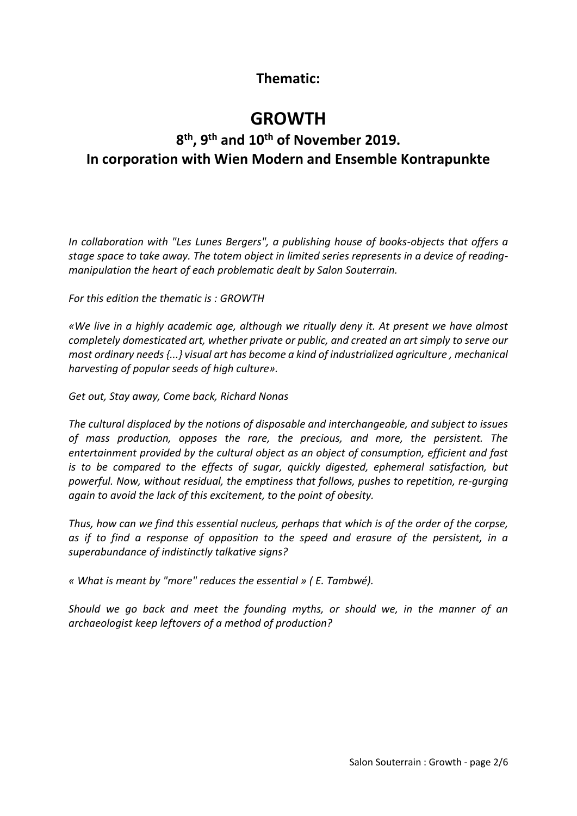## **Thematic:**

# **GROWTH**

## **8 th, 9th and 10th of November 2019. In corporation with Wien Modern and Ensemble Kontrapunkte**

*In collaboration with "Les Lunes Bergers", a publishing house of books-objects that offers a stage space to take away. The totem object in limited series represents in a device of readingmanipulation the heart of each problematic dealt by Salon Souterrain.* 

*For this edition the thematic is : GROWTH*

*«We live in a highly academic age, although we ritually deny it. At present we have almost completely domesticated art, whether private or public, and created an art simply to serve our most ordinary needs {...} visual art has become a kind of industrialized agriculture , mechanical harvesting of popular seeds of high culture».*

*Get out, Stay away, Come back, Richard Nonas*

*The cultural displaced by the notions of disposable and interchangeable, and subject to issues of mass production, opposes the rare, the precious, and more, the persistent. The entertainment provided by the cultural object as an object of consumption, efficient and fast is to be compared to the effects of sugar, quickly digested, ephemeral satisfaction, but powerful. Now, without residual, the emptiness that follows, pushes to repetition, re-gurging again to avoid the lack of this excitement, to the point of obesity.*

*Thus, how can we find this essential nucleus, perhaps that which is of the order of the corpse, as if to find a response of opposition to the speed and erasure of the persistent, in a superabundance of indistinctly talkative signs?*

*« What is meant by "more" reduces the essential » ( E. Tambwé).* 

*Should we go back and meet the founding myths, or should we, in the manner of an archaeologist keep leftovers of a method of production?*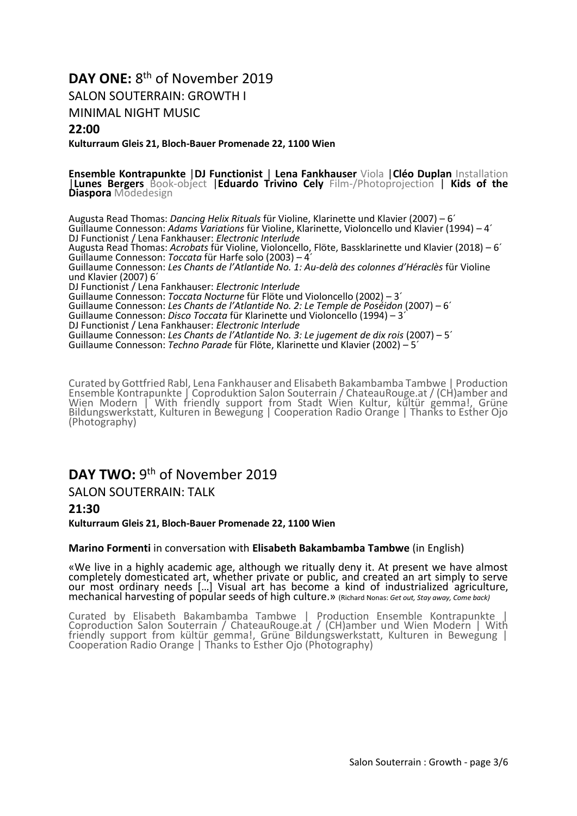## DAY ONE: 8<sup>th</sup> of November 2019

SALON SOUTERRAIN: GROWTH I

MINIMAL NIGHT MUSIC

#### **22:00**

**Kulturraum Gleis 21, Bloch-Bauer Promenade 22, 1100 Wien**

#### **Ensemble Kontrapunkte** |**DJ Functionist** | **Lena Fankhauser** Viola |**Cléo Duplan** Installation

|**Lunes Bergers** Book-object |**Eduardo Trivino Cely** Film-/Photoprojection | **Kids of the Diaspora** Modedesign

Augusta Read Thomas: *Dancing Helix Rituals* für Violine, Klarinette und Klavier (2007) – 6´ Guillaume Connesson: *Adams Variations* für Violine, Klarinette, Violoncello und Klavier (1994) – 4´ DJ Functionist / Lena Fankhauser: *Electronic Interlude* Augusta Read Thomas: *Acrobats* für Violine, Violoncello, Flöte, Bassklarinette und Klavier (2018) – 6´ Guillaume Connesson: *Toccata* für Harfe solo (2003) – 4´ Guillaume Connesson: *Les Chants de l'Atlantide No. 1: Au-delà des colonnes d'Héraclès* für Violine und Klavier (2007) 6´ DJ Functionist / Lena Fankhauser: *Electronic Interlude* Guillaume Connesson: *Toccata Nocturne* für Flöte und Violoncello (2002) – 3´ Guillaume Connesson: *Les Chants de l'Atlantide No. 2: Le Temple de Poséidon* (2007) – 6´ Guillaume Connesson: *Disco Toccata* für Klarinette und Violoncello (1994) – 3´ DJ Functionist / Lena Fankhauser: *Electronic Interlude* Guillaume Connesson: *Les Chants de l'Atlantide No. 3: Le jugement de dix rois* (2007) – 5´ Guillaume Connesson: *Techno Parade* für Flöte, Klarinette und Klavier (2002) – 5´

Curated by Gottfried Rabl, Lena Fankhauser and Elisabeth Bakambamba Tambwe | Production Ensemble Kontrapunkte | Coproduktion Salon Souterrain / ChateauRouge.at / (CH)amber and Wien Modern | With friendly support from Stadt Wien Kultur, kültür gemma!, Grüne Bildungswerkstatt, Kulturen in Bewegung | Cooperation Radio Orange | Thanks to Esther Ojo (Photography)

## DAY TWO: 9<sup>th</sup> of November 2019

SALON SOUTERRAIN: TALK

**21:30**

**Kulturraum Gleis 21, Bloch-Bauer Promenade 22, 1100 Wien**

#### **Marino Formenti** in conversation with **Elisabeth Bakambamba Tambwe** (in English)

«We live in a highly academic age, although we ritually deny it. At present we have almost completely domesticated art, whether private or public, and created an art simply to serve our most ordinary needs [...] Visual art has become a kind of industrialized agriculture, mechanical harvesting of popular seeds of high culture.» (Richard Nonas: *Get out, Stay away, Come back)*

Curated by Elisabeth Bakambamba Tambwe | Production Ensemble Kontrapunkte | Coproduction Salon Souterrain / ChateauRouge.at / (CH)amber und Wien Modern | With friendly support from kültür gemma!, Grüne Bildungswerkstatt, Kulturen in Bewegung | Cooperation Radio Orange | Thanks to Esther Ojo (Photography)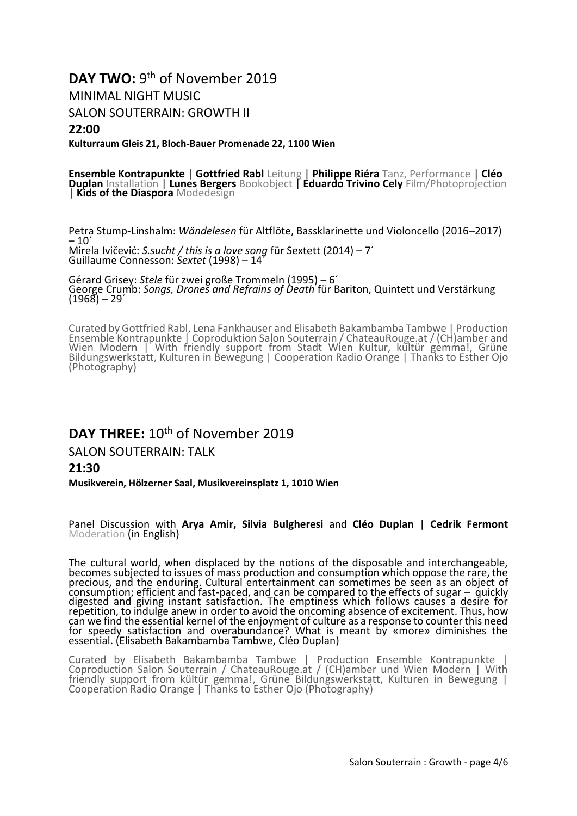## DAY TWO: 9<sup>th</sup> of November 2019

MINIMAL NIGHT MUSIC

SALON SOUTERRAIN: GROWTH II

#### **22:00**

**Kulturraum Gleis 21, Bloch-Bauer Promenade 22, 1100 Wien**

**Ensemble Kontrapunkte** | **Gottfried Rabl** Leitung | **Philippe Riéra** Tanz, Performance | **Cléo Duplan** Installation | **Lunes Bergers** Bookobject | **Eduardo Trivino Cely** Film/Photoprojection | **Kids of the Diaspora** Modedesign

Petra Stump-Linshalm: *Wändelesen* für Altflöte, Bassklarinette und Violoncello (2016–2017)  $-10$ <sup> $'$ </sup> Mirela Ivičević: *S.sucht / this is a love song* für Sextett (2014) – 7´ Guillaume Connesson: *Sextet* (1998) – 14´

Gérard Grisey: *Stele* für zwei große Trommeln (1995) – 6´ George Crumb: *Songs, Drones and Refrains of Death* für Bariton, Quintett und Verstärkung  $(1968) - 29'$ 

Curated by Gottfried Rabl, Lena Fankhauser and Elisabeth Bakambamba Tambwe | Production Ensemble Kontrapunkte | Coproduktion Salon Souterrain / ChateauRouge.at / (CH)amber and Wien Modern | With friendly support from Stadt Wien Kultur, kültür gemma!, Grüne Bildungswerkstatt, Kulturen in Bewegung | Cooperation Radio Orange | Thanks to Esther Ojo (Photography)

### **DAY THREE:** 10th of November 2019

SALON SOUTERRAIN: TALK

#### **21:30**

**Musikverein, Hölzerner Saal, Musikvereinsplatz 1, 1010 Wien**

Panel Discussion with **Arya Amir, Silvia Bulgheresi** and **Cléo Duplan** | **Cedrik Fermont** Moderation (in English)

The cultural world, when displaced by the notions of the disposable and interchangeable, becomes subjected to issues of mass production and consumption which oppose the rare, the precious, and the enduring. Cultural entertainment can sometimes be seen as an object of consumption; efficient and fast-paced, and can be compared to the effects of sugar – quickly digested and giving instant satisfaction. The emptiness which follows causes a desire for repetition, to indulge anew in order to avoid the oncoming absence of excitement. Thus, how can we find the essential kernel of the enjoyment of culture as a response to counter this need for speedy satisfaction and overabundance? What is meant by «more» diminishes the essential. (Elisabeth Bakambamba Tambwe, Cléo Duplan)

Curated by Elisabeth Bakambamba Tambwe | Production Ensemble Kontrapunkte | Coproduction Salon Souterrain / ChateauRouge.at / (CH)amber und Wien Modern | With friendly support from kültür gemma!, Grüne Bildungswerkstatt, Kulturen in Bewegung | Cooperation Radio Orange | Thanks to Esther Ojo (Photography)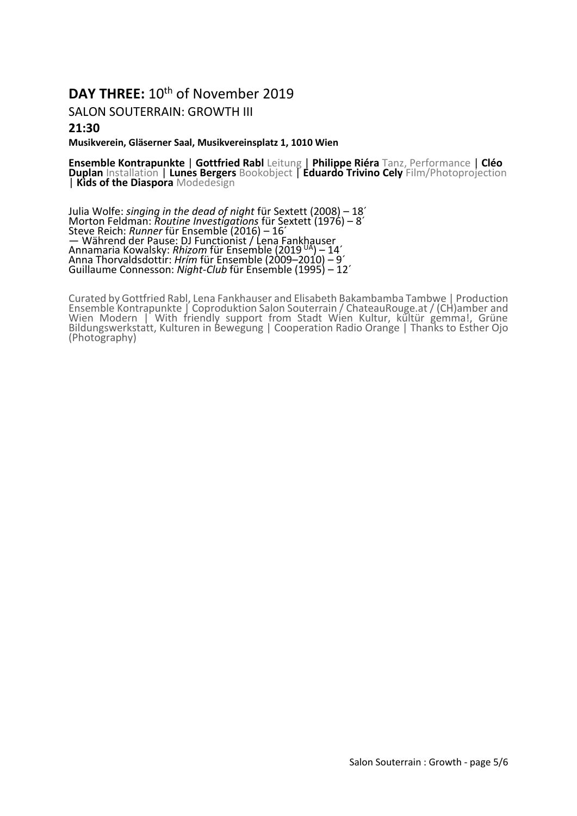## DAY THREE: 10<sup>th</sup> of November 2019

#### SALON SOUTERRAIN: GROWTH III

#### **21:30**

#### **Musikverein, Gläserner Saal, Musikvereinsplatz 1, 1010 Wien**

**Ensemble Kontrapunkte** | **Gottfried Rabl** Leitung | **Philippe Riéra** Tanz, Performance | **Cléo Duplan** Installation | **Lunes Bergers** Bookobject | **Eduardo Trivino Cely** Film/Photoprojection | **Kids of the Diaspora** Modedesign

Julia Wolfe: *singing in the dead of night* für Sextett (2008) – 18´ Morton Feldman: *Routine Investigations* für Sextett (1976) – 8´ Steve Reich: *Runner* für Ensemble (2016) – 16´ — Während der Pause: DJ Functionist / Lena Fankhauser Annamaria Kowalsky: *Rhizom* für Ensemble (2019 UA) – 14´ Anna Thorvaldsdottir: *Hrím* für Ensemble (2009–2010) – 9´ Guillaume Connesson: *Night-Club* für Ensemble (1995) – 12´

Curated by Gottfried Rabl, Lena Fankhauser and Elisabeth Bakambamba Tambwe | Production Ensemble Kontrapunkte | Coproduktion Salon Souterrain / ChateauRouge.at / (CH)amber and Wien Modern | With friendly support from Stadt Wien Kultur, kültür gemma!, Grüne Bildungswerkstatt, Kulturen in Bewegung | Cooperation Radio Orange | Thanks to Esther Ojo (Photography)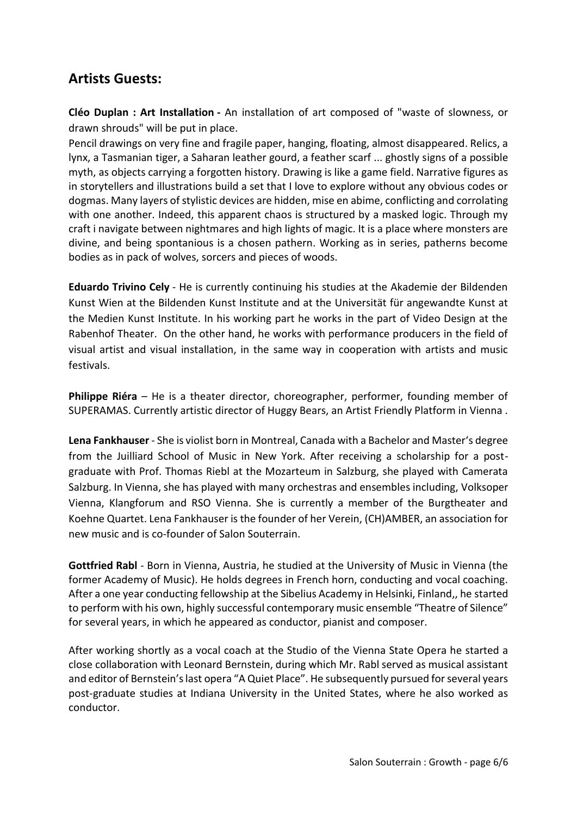## **Artists Guests:**

**Cléo Duplan : Art Installation -** An installation of art composed of "waste of slowness, or drawn shrouds" will be put in place.

Pencil drawings on very fine and fragile paper, hanging, floating, almost disappeared. Relics, a lynx, a Tasmanian tiger, a Saharan leather gourd, a feather scarf ... ghostly signs of a possible myth, as objects carrying a forgotten history. Drawing is like a game field. Narrative figures as in storytellers and illustrations build a set that I love to explore without any obvious codes or dogmas. Many layers of stylistic devices are hidden, mise en abime, conflicting and corrolating with one another. Indeed, this apparent chaos is structured by a masked logic. Through my craft i navigate between nightmares and high lights of magic. It is a place where monsters are divine, and being spontanious is a chosen pathern. Working as in series, patherns become bodies as in pack of wolves, sorcers and pieces of woods.

**Eduardo Trivino Cely** - He is currently continuing his studies at the Akademie der Bildenden Kunst Wien at the Bildenden Kunst Institute and at the Universität für angewandte Kunst at the Medien Kunst Institute. In his working part he works in the part of Video Design at the Rabenhof Theater. On the other hand, he works with performance producers in the field of visual artist and visual installation, in the same way in cooperation with artists and music festivals.

**Philippe Riéra** – He is a theater director, choreographer, performer, founding member of SUPERAMAS. Currently artistic director of Huggy Bears, an Artist Friendly Platform in Vienna .

**Lena Fankhauser** - She is violist born in Montreal, Canada with a Bachelor and Master's degree from the Juilliard School of Music in New York. After receiving a scholarship for a postgraduate with Prof. Thomas Riebl at the Mozarteum in Salzburg, she played with Camerata Salzburg. In Vienna, she has played with many orchestras and ensembles including, Volksoper Vienna, Klangforum and RSO Vienna. She is currently a member of the Burgtheater and Koehne Quartet. Lena Fankhauser is the founder of her Verein, (CH)AMBER, an association for new music and is co-founder of Salon Souterrain.

**Gottfried Rabl** - Born in Vienna, Austria, he studied at the University of Music in Vienna (the former Academy of Music). He holds degrees in French horn, conducting and vocal coaching. After a one year conducting fellowship at the Sibelius Academy in Helsinki, Finland,, he started to perform with his own, highly successful contemporary music ensemble "Theatre of Silence" for several years, in which he appeared as conductor, pianist and composer.

After working shortly as a vocal coach at the Studio of the Vienna State Opera he started a close collaboration with Leonard Bernstein, during which Mr. Rabl served as musical assistant and editor of Bernstein's last opera "A Quiet Place". He subsequently pursued for several years post-graduate studies at Indiana University in the United States, where he also worked as conductor.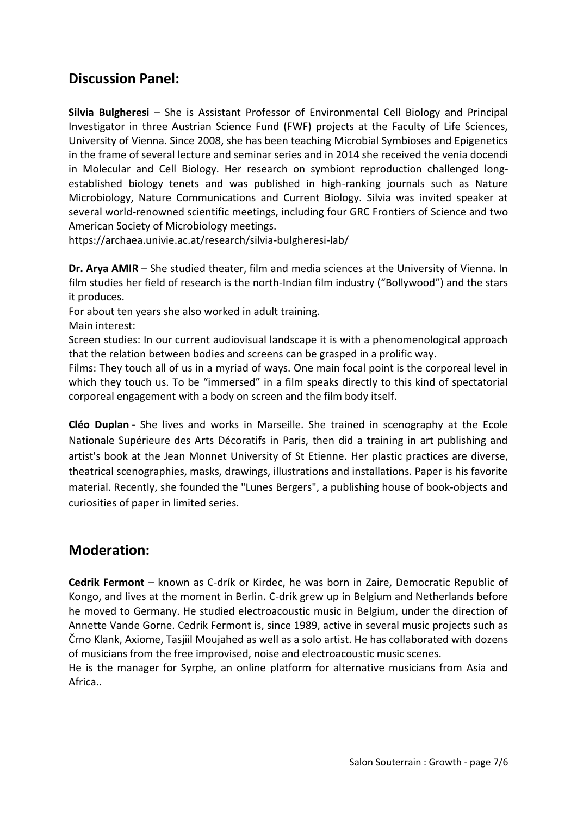## **Discussion Panel:**

**Silvia Bulgheresi** – She is Assistant Professor of Environmental Cell Biology and Principal Investigator in three Austrian Science Fund (FWF) projects at the Faculty of Life Sciences, University of Vienna. Since 2008, she has been teaching Microbial Symbioses and Epigenetics in the frame of several lecture and seminar series and in 2014 she received the venia docendi in Molecular and Cell Biology. Her research on symbiont reproduction challenged longestablished biology tenets and was published in high-ranking journals such as Nature Microbiology, Nature Communications and Current Biology. Silvia was invited speaker at several world-renowned scientific meetings, including four GRC Frontiers of Science and two American Society of Microbiology meetings.

https://archaea.univie.ac.at/research/silvia-bulgheresi-lab/

**Dr. Arya AMIR** – She studied theater, film and media sciences at the University of Vienna. In film studies her field of research is the north-Indian film industry ("Bollywood") and the stars it produces.

For about ten years she also worked in adult training.

Main interest:

Screen studies: In our current audiovisual landscape it is with a phenomenological approach that the relation between bodies and screens can be grasped in a prolific way.

Films: They touch all of us in a myriad of ways. One main focal point is the corporeal level in which they touch us. To be "immersed" in a film speaks directly to this kind of spectatorial corporeal engagement with a body on screen and the film body itself.

**Cléo Duplan -** She lives and works in Marseille. She trained in scenography at the Ecole Nationale Supérieure des Arts Décoratifs in Paris, then did a training in art publishing and artist's book at the Jean Monnet University of St Etienne. Her plastic practices are diverse, theatrical scenographies, masks, drawings, illustrations and installations. Paper is his favorite material. Recently, she founded the "Lunes Bergers", a publishing house of book-objects and curiosities of paper in limited series.

## **Moderation:**

**Cedrik Fermont** – known as C-drík or Kirdec, he was born in Zaire, Democratic Republic of Kongo, and lives at the moment in Berlin. C-drík grew up in Belgium and Netherlands before he moved to Germany. He studied electroacoustic music in Belgium, under the direction of Annette Vande Gorne. Cedrik Fermont is, since 1989, active in several music projects such as Črno Klank, Axiome, Tasjiil Moujahed as well as a solo artist. He has collaborated with dozens of musicians from the free improvised, noise and electroacoustic music scenes.

He is the manager for Syrphe, an online platform for alternative musicians from Asia and Africa..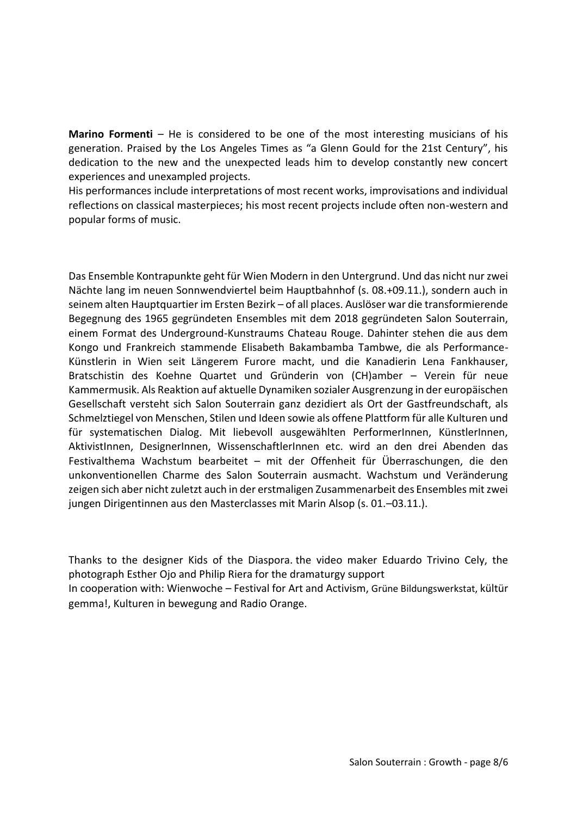**Marino Formenti** – He is considered to be one of the most interesting musicians of his generation. Praised by the Los Angeles Times as "a Glenn Gould for the 21st Century", his dedication to the new and the unexpected leads him to develop constantly new concert experiences and unexampled projects.

His performances include interpretations of most recent works, improvisations and individual reflections on classical masterpieces; his most recent projects include often non-western and popular forms of music.

Das Ensemble Kontrapunkte geht für Wien Modern in den Untergrund. Und das nicht nur zwei Nächte lang im neuen Sonnwendviertel beim Hauptbahnhof (s. 08.+09.11.), sondern auch in seinem alten Hauptquartier im Ersten Bezirk – of all places. Auslöser war die transformierende Begegnung des 1965 gegründeten Ensembles mit dem 2018 gegründeten Salon Souterrain, einem Format des Underground-Kunstraums Chateau Rouge. Dahinter stehen die aus dem Kongo und Frankreich stammende Elisabeth Bakambamba Tambwe, die als Performance-Künstlerin in Wien seit Längerem Furore macht, und die Kanadierin Lena Fankhauser, Bratschistin des Koehne Quartet und Gründerin von (CH)amber – Verein für neue Kammermusik. Als Reaktion auf aktuelle Dynamiken sozialer Ausgrenzung in der europäischen Gesellschaft versteht sich Salon Souterrain ganz dezidiert als Ort der Gastfreundschaft, als Schmelztiegel von Menschen, Stilen und Ideen sowie als offene Plattform für alle Kulturen und für systematischen Dialog. Mit liebevoll ausgewählten PerformerInnen, KünstlerInnen, AktivistInnen, DesignerInnen, WissenschaftlerInnen etc. wird an den drei Abenden das Festivalthema Wachstum bearbeitet – mit der Offenheit für Überraschungen, die den unkonventionellen Charme des Salon Souterrain ausmacht. Wachstum und Veränderung zeigen sich aber nicht zuletzt auch in der erstmaligen Zusammenarbeit des Ensembles mit zwei jungen Dirigentinnen aus den Masterclasses mit Marin Alsop (s. 01.–03.11.).

Thanks to the designer Kids of the Diaspora. the video maker Eduardo Trivino Cely, the photograph Esther Ojo and Philip Riera for the dramaturgy support

In cooperation with: Wienwoche – Festival for Art and Activism, Grüne Bildungswerkstat, kültür gemma!, Kulturen in bewegung and Radio Orange.